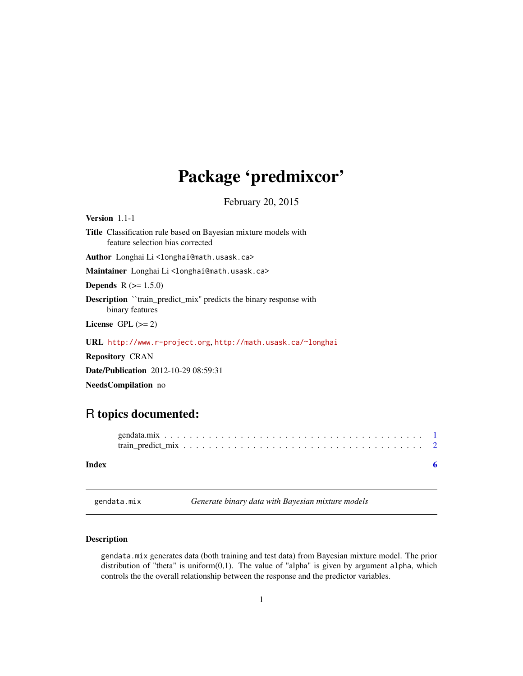## <span id="page-0-0"></span>Package 'predmixcor'

February 20, 2015

Version 1.1-1 Title Classification rule based on Bayesian mixture models with feature selection bias corrected Author Longhai Li<longhai@math.usask.ca> Maintainer Longhai Li<longhai@math.usask.ca> **Depends**  $R (= 1.5.0)$ Description ``train\_predict\_mix'' predicts the binary response with binary features License GPL  $(>= 2)$ 

URL <http://www.r-project.org>, <http://math.usask.ca/~longhai>

Repository CRAN

Date/Publication 2012-10-29 08:59:31

NeedsCompilation no

### R topics documented:

| Index |  |
|-------|--|

<span id="page-0-1"></span>gendata.mix *Generate binary data with Bayesian mixture models*

#### Description

gendata.mix generates data (both training and test data) from Bayesian mixture model. The prior distribution of "theta" is uniform $(0,1)$ . The value of "alpha" is given by argument alpha, which controls the the overall relationship between the response and the predictor variables.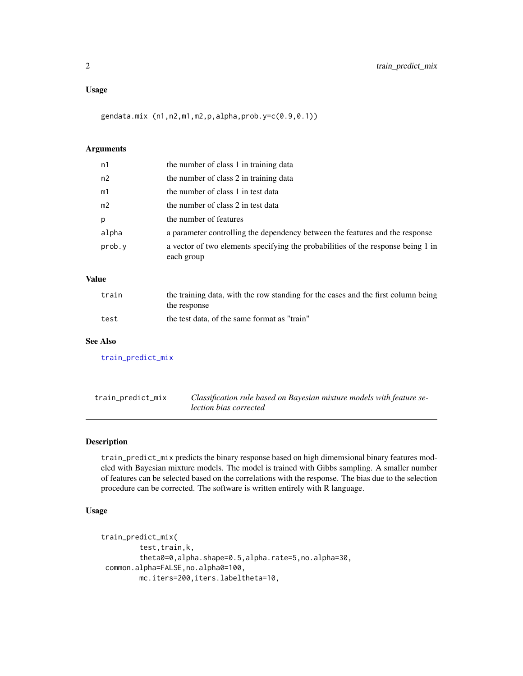#### <span id="page-1-0"></span>Usage

gendata.mix (n1,n2,m1,m2,p,alpha,prob.y=c(0.9,0.1))

#### Arguments

| n1             | the number of class 1 in training data                                                         |
|----------------|------------------------------------------------------------------------------------------------|
| n2             | the number of class 2 in training data                                                         |
| m1             | the number of class 1 in test data                                                             |
| m <sub>2</sub> | the number of class 2 in test data                                                             |
| p              | the number of features                                                                         |
| alpha          | a parameter controlling the dependency between the features and the response                   |
| prob.y         | a vector of two elements specifying the probabilities of the response being 1 in<br>each group |
|                |                                                                                                |

#### Value

| train | the training data, with the row standing for the cases and the first column being<br>the response |
|-------|---------------------------------------------------------------------------------------------------|
| test  | the test data, of the same format as "train"                                                      |

#### See Also

[train\\_predict\\_mix](#page-1-1)

<span id="page-1-1"></span>train\_predict\_mix *Classification rule based on Bayesian mixture models with feature selection bias corrected*

#### Description

train\_predict\_mix predicts the binary response based on high dimemsional binary features modeled with Bayesian mixture models. The model is trained with Gibbs sampling. A smaller number of features can be selected based on the correlations with the response. The bias due to the selection procedure can be corrected. The software is written entirely with R language.

#### Usage

```
train_predict_mix(
        test,train,k,
        theta0=0,alpha.shape=0.5,alpha.rate=5,no.alpha=30,
common.alpha=FALSE,no.alpha0=100,
        mc.iters=200,iters.labeltheta=10,
```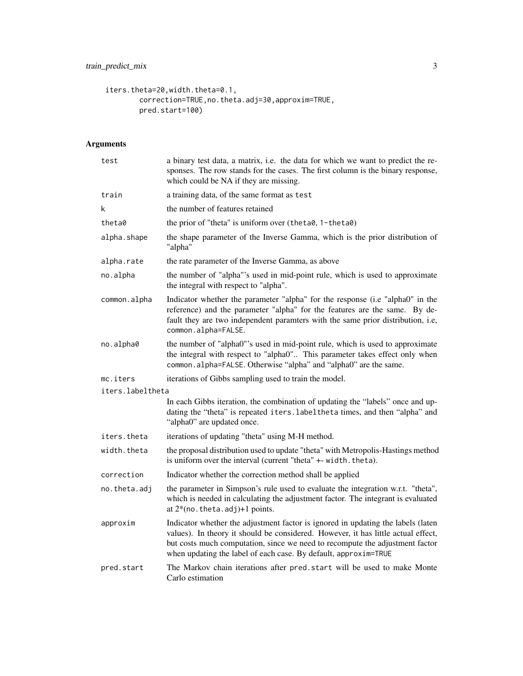```
iters.theta=20,width.theta=0.1,
       correction=TRUE,no.theta.adj=30,approxim=TRUE,
       pred.start=100)
```
#### Arguments

| test             | a binary test data, a matrix, i.e. the data for which we want to predict the re-<br>sponses. The row stands for the cases. The first column is the binary response,<br>which could be NA if they are missing.                                                                                                            |
|------------------|--------------------------------------------------------------------------------------------------------------------------------------------------------------------------------------------------------------------------------------------------------------------------------------------------------------------------|
| train            | a training data, of the same format as test                                                                                                                                                                                                                                                                              |
| k                | the number of features retained                                                                                                                                                                                                                                                                                          |
| theta0           | the prior of "theta" is uniform over (theta0, 1-theta0)                                                                                                                                                                                                                                                                  |
| alpha.shape      | the shape parameter of the Inverse Gamma, which is the prior distribution of<br>"alpha"                                                                                                                                                                                                                                  |
| alpha.rate       | the rate parameter of the Inverse Gamma, as above                                                                                                                                                                                                                                                                        |
| no.alpha         | the number of "alpha"'s used in mid-point rule, which is used to approximate<br>the integral with respect to "alpha".                                                                                                                                                                                                    |
| common.alpha     | Indicator whether the parameter "alpha" for the response (i.e "alpha0" in the<br>reference) and the parameter "alpha" for the features are the same. By de-<br>fault they are two independent paramters with the same prior distribution, i.e,<br>common.alpha=FALSE.                                                    |
| no.alpha0        | the number of "alpha0"'s used in mid-point rule, which is used to approximate<br>the integral with respect to "alpha0" This parameter takes effect only when<br>common.alpha=FALSE. Otherwise "alpha" and "alpha0" are the same.                                                                                         |
| mc.iters         | iterations of Gibbs sampling used to train the model.                                                                                                                                                                                                                                                                    |
| iters.labeltheta |                                                                                                                                                                                                                                                                                                                          |
|                  | In each Gibbs iteration, the combination of updating the "labels" once and up-<br>dating the "theta" is repeated iters. label theta times, and then "alpha" and<br>"alpha0" are updated once.                                                                                                                            |
| iters.theta      | iterations of updating "theta" using M-H method.                                                                                                                                                                                                                                                                         |
| width.theta      | the proposal distribution used to update "theta" with Metropolis-Hastings method<br>is uniform over the interval (current "theta" +- width. theta).                                                                                                                                                                      |
| correction       | Indicator whether the correction method shall be applied                                                                                                                                                                                                                                                                 |
| no.theta.adj     | the parameter in Simpson's rule used to evaluate the integration w.r.t. "theta",<br>which is needed in calculating the adjustment factor. The integrant is evaluated<br>at $2*(no. theta. adj)+1 points.$                                                                                                                |
| approxim         | Indicator whether the adjustment factor is ignored in updating the labels (laten<br>values). In theory it should be considered. However, it has little actual effect,<br>but costs much computation, since we need to recompute the adjustment factor<br>when updating the label of each case. By default, approxim=TRUE |
| pred.start       | The Markov chain iterations after pred. start will be used to make Monte<br>Carlo estimation                                                                                                                                                                                                                             |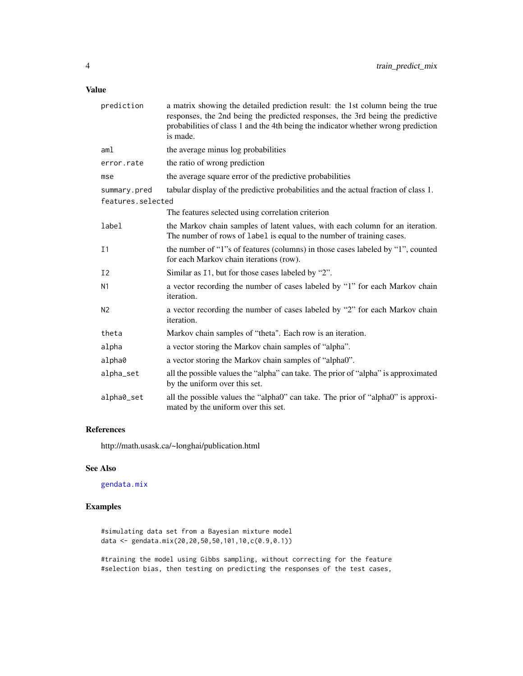#### <span id="page-3-0"></span>Value

| prediction        | a matrix showing the detailed prediction result: the 1st column being the true<br>responses, the 2nd being the predicted responses, the 3rd being the predictive<br>probabilities of class 1 and the 4th being the indicator whether wrong prediction<br>is made. |  |  |  |  |
|-------------------|-------------------------------------------------------------------------------------------------------------------------------------------------------------------------------------------------------------------------------------------------------------------|--|--|--|--|
| aml               | the average minus log probabilities                                                                                                                                                                                                                               |  |  |  |  |
| error.rate        | the ratio of wrong prediction                                                                                                                                                                                                                                     |  |  |  |  |
| mse               | the average square error of the predictive probabilities                                                                                                                                                                                                          |  |  |  |  |
| summary.pred      | tabular display of the predictive probabilities and the actual fraction of class 1.                                                                                                                                                                               |  |  |  |  |
| features.selected |                                                                                                                                                                                                                                                                   |  |  |  |  |
|                   | The features selected using correlation criterion                                                                                                                                                                                                                 |  |  |  |  |
| label             | the Markov chain samples of latent values, with each column for an iteration.<br>The number of rows of label is equal to the number of training cases.                                                                                                            |  |  |  |  |
| I <sub>1</sub>    | the number of "1"s of features (columns) in those cases labeled by "1", counted<br>for each Markov chain iterations (row).                                                                                                                                        |  |  |  |  |
| I <sub>2</sub>    | Similar as 11, but for those cases labeled by "2".                                                                                                                                                                                                                |  |  |  |  |
| N <sub>1</sub>    | a vector recording the number of cases labeled by "1" for each Markov chain<br>iteration.                                                                                                                                                                         |  |  |  |  |
| N <sub>2</sub>    | a vector recording the number of cases labeled by "2" for each Markov chain<br>iteration.                                                                                                                                                                         |  |  |  |  |
| theta             | Markov chain samples of "theta". Each row is an iteration.                                                                                                                                                                                                        |  |  |  |  |
| alpha             | a vector storing the Markov chain samples of "alpha".                                                                                                                                                                                                             |  |  |  |  |
| alpha0            | a vector storing the Markov chain samples of "alpha0".                                                                                                                                                                                                            |  |  |  |  |
| alpha_set         | all the possible values the "alpha" can take. The prior of "alpha" is approximated<br>by the uniform over this set.                                                                                                                                               |  |  |  |  |
| alpha0_set        | all the possible values the "alpha0" can take. The prior of "alpha0" is approxi-<br>mated by the uniform over this set.                                                                                                                                           |  |  |  |  |

#### References

http://math.usask.ca/~longhai/publication.html

#### See Also

[gendata.mix](#page-0-1)

#### Examples

#simulating data set from a Bayesian mixture model data <- gendata.mix(20,20,50,50,101,10,c(0.9,0.1))

#training the model using Gibbs sampling, without correcting for the feature #selection bias, then testing on predicting the responses of the test cases,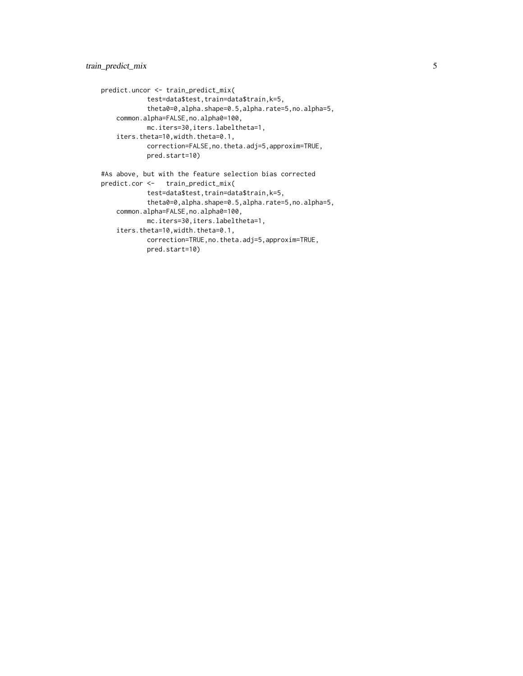```
predict.uncor <- train_predict_mix(
           test=data$test,train=data$train,k=5,
           theta0=0,alpha.shape=0.5,alpha.rate=5,no.alpha=5,
   common.alpha=FALSE,no.alpha0=100,
           mc.iters=30,iters.labeltheta=1,
    iters.theta=10,width.theta=0.1,
           correction=FALSE,no.theta.adj=5,approxim=TRUE,
           pred.start=10)
#As above, but with the feature selection bias corrected
predict.cor <- train_predict_mix(
           test=data$test,train=data$train,k=5,
           theta0=0,alpha.shape=0.5,alpha.rate=5,no.alpha=5,
   common.alpha=FALSE,no.alpha0=100,
           mc.iters=30,iters.labeltheta=1,
    iters.theta=10,width.theta=0.1,
```

```
correction=TRUE,no.theta.adj=5,approxim=TRUE,
pred.start=10)
```